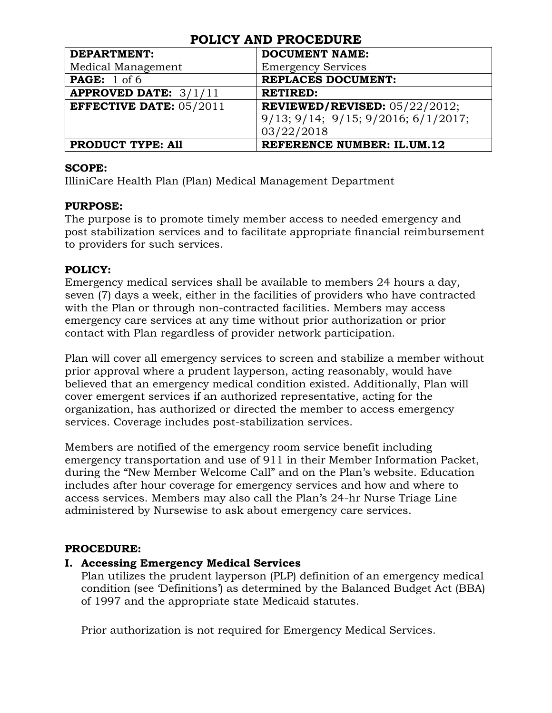| 1 JEIU 1 1116 1 110 JED JILE   |                                         |  |
|--------------------------------|-----------------------------------------|--|
| <b>DEPARTMENT:</b>             | <b>DOCUMENT NAME:</b>                   |  |
| Medical Management             | <b>Emergency Services</b>               |  |
| <b>PAGE:</b> 1 of 6            | <b>REPLACES DOCUMENT:</b>               |  |
| <b>APPROVED DATE: 3/1/11</b>   | <b>RETIRED:</b>                         |  |
| <b>EFFECTIVE DATE: 05/2011</b> | <b>REVIEWED/REVISED:</b> $05/22/2012$ ; |  |
|                                | 9/13; 9/14; 9/15; 9/2016; 6/1/2017;     |  |
|                                | 03/22/2018                              |  |
| <b>PRODUCT TYPE: All</b>       | <b>REFERENCE NUMBER: IL.UM.12</b>       |  |

#### **SCOPE:**

IlliniCare Health Plan (Plan) Medical Management Department

#### **PURPOSE:**

The purpose is to promote timely member access to needed emergency and post stabilization services and to facilitate appropriate financial reimbursement to providers for such services.

#### **POLICY:**

Emergency medical services shall be available to members 24 hours a day, seven (7) days a week, either in the facilities of providers who have contracted with the Plan or through non-contracted facilities. Members may access emergency care services at any time without prior authorization or prior contact with Plan regardless of provider network participation.

Plan will cover all emergency services to screen and stabilize a member without prior approval where a prudent layperson, acting reasonably, would have believed that an emergency medical condition existed. Additionally, Plan will cover emergent services if an authorized representative, acting for the organization, has authorized or directed the member to access emergency services. Coverage includes post-stabilization services.

Members are notified of the emergency room service benefit including emergency transportation and use of 911 in their Member Information Packet, during the "New Member Welcome Call" and on the Plan's website. Education includes after hour coverage for emergency services and how and where to access services. Members may also call the Plan's 24-hr Nurse Triage Line administered by Nursewise to ask about emergency care services.

### **PROCEDURE:**

### **I. Accessing Emergency Medical Services**

Plan utilizes the prudent layperson (PLP) definition of an emergency medical condition (see 'Definitions') as determined by the Balanced Budget Act (BBA) of 1997 and the appropriate state Medicaid statutes.

Prior authorization is not required for Emergency Medical Services.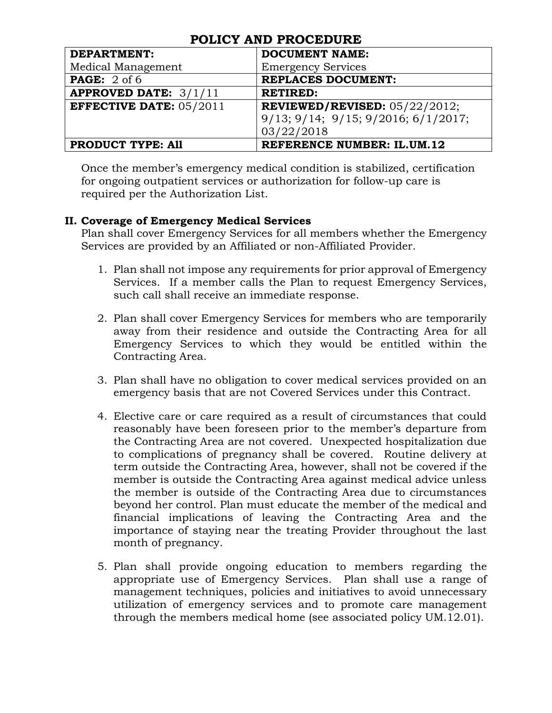| <b>DEPARTMENT:</b>             | <b>DOCUMENT NAME:</b>                              |  |
|--------------------------------|----------------------------------------------------|--|
| Medical Management             | <b>Emergency Services</b>                          |  |
| <b>PAGE:</b> $2$ of 6          | <b>REPLACES DOCUMENT:</b>                          |  |
| <b>APPROVED DATE:</b> $3/1/11$ | <b>RETIRED:</b>                                    |  |
| EFFECTIVE DATE: $05/2011$      | <b>REVIEWED/REVISED:</b> $05/22/2012$ ;            |  |
|                                | $9/13$ ; $9/14$ ; $9/15$ ; $9/2016$ ; $6/1/2017$ ; |  |
|                                | 03/22/2018                                         |  |
| <b>PRODUCT TYPE: All</b>       | <b>REFERENCE NUMBER: IL.UM.12</b>                  |  |

Once the member's emergency medical condition is stabilized, certification for ongoing outpatient services or authorization for follow-up care is required per the Authorization List.

### **II. Coverage of Emergency Medical Services**

Plan shall cover Emergency Services for all members whether the Emergency Services are provided by an Affiliated or non-Affiliated Provider.

- 1. Plan shall not impose any requirements for prior approval of Emergency Services. If a member calls the Plan to request Emergency Services, such call shall receive an immediate response.
- 2. Plan shall cover Emergency Services for members who are temporarily away from their residence and outside the Contracting Area for all Emergency Services to which they would be entitled within the Contracting Area.
- 3. Plan shall have no obligation to cover medical services provided on an emergency basis that are not Covered Services under this Contract.
- 4. Elective care or care required as a result of circumstances that could reasonably have been foreseen prior to the member's departure from the Contracting Area are not covered. Unexpected hospitalization due to complications of pregnancy shall be covered. Routine delivery at term outside the Contracting Area, however, shall not be covered if the member is outside the Contracting Area against medical advice unless the member is outside of the Contracting Area due to circumstances beyond her control. Plan must educate the member of the medical and financial implications of leaving the Contracting Area and the importance of staying near the treating Provider throughout the last month of pregnancy.
- 5. Plan shall provide ongoing education to members regarding the appropriate use of Emergency Services. Plan shall use a range of management techniques, policies and initiatives to avoid unnecessary utilization of emergency services and to promote care management through the members medical home (see associated policy UM.12.01).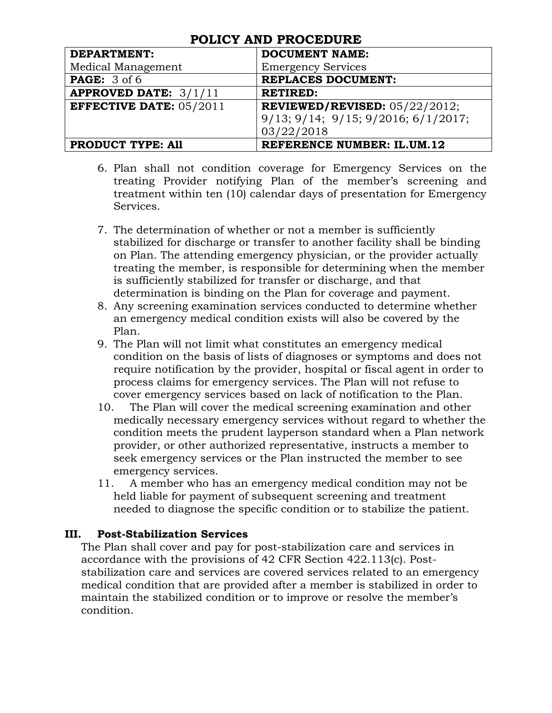| <b>DEPARTMENT:</b>             | <b>DOCUMENT NAME:</b>                              |  |
|--------------------------------|----------------------------------------------------|--|
| Medical Management             | <b>Emergency Services</b>                          |  |
| <b>PAGE:</b> 3 of 6            | <b>REPLACES DOCUMENT:</b>                          |  |
| <b>APPROVED DATE:</b> $3/1/11$ | <b>RETIRED:</b>                                    |  |
| <b>EFFECTIVE DATE: 05/2011</b> | REVIEWED/REVISED: $05/22/2012$ ;                   |  |
|                                | $9/13$ ; $9/14$ ; $9/15$ ; $9/2016$ ; $6/1/2017$ ; |  |
|                                | 03/22/2018                                         |  |
| <b>PRODUCT TYPE: All</b>       | <b>REFERENCE NUMBER: IL.UM.12</b>                  |  |

- 6. Plan shall not condition coverage for Emergency Services on the treating Provider notifying Plan of the member's screening and treatment within ten (10) calendar days of presentation for Emergency Services.
- 7. The determination of whether or not a member is sufficiently stabilized for discharge or transfer to another facility shall be binding on Plan. The attending emergency physician, or the provider actually treating the member, is responsible for determining when the member is sufficiently stabilized for transfer or discharge, and that determination is binding on the Plan for coverage and payment.
- 8. Any screening examination services conducted to determine whether an emergency medical condition exists will also be covered by the Plan.
- 9. The Plan will not limit what constitutes an emergency medical condition on the basis of lists of diagnoses or symptoms and does not require notification by the provider, hospital or fiscal agent in order to process claims for emergency services. The Plan will not refuse to cover emergency services based on lack of notification to the Plan.
- 10. The Plan will cover the medical screening examination and other medically necessary emergency services without regard to whether the condition meets the prudent layperson standard when a Plan network provider, or other authorized representative, instructs a member to seek emergency services or the Plan instructed the member to see emergency services.
- 11. A member who has an emergency medical condition may not be held liable for payment of subsequent screening and treatment needed to diagnose the specific condition or to stabilize the patient.

## **III. Post-Stabilization Services**

The Plan shall cover and pay for post-stabilization care and services in accordance with the provisions of 42 CFR Section 422.113(c). Poststabilization care and services are covered services related to an emergency medical condition that are provided after a member is stabilized in order to maintain the stabilized condition or to improve or resolve the member's condition.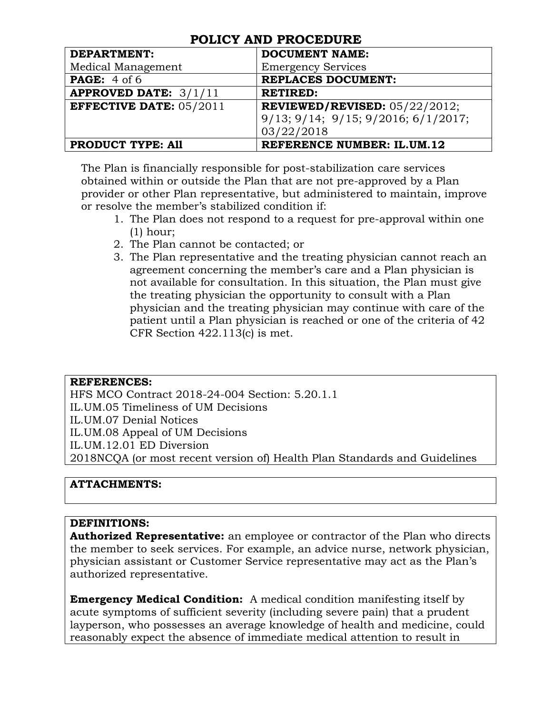| <b>DEPARTMENT:</b>             | <b>DOCUMENT NAME:</b>               |
|--------------------------------|-------------------------------------|
| Medical Management             | <b>Emergency Services</b>           |
| <b>PAGE:</b> $4$ of $6$        | <b>REPLACES DOCUMENT:</b>           |
| <b>APPROVED DATE: 3/1/11</b>   | <b>RETIRED:</b>                     |
| <b>EFFECTIVE DATE: 05/2011</b> | REVIEWED/REVISED: $05/22/2012$ ;    |
|                                | 9/13; 9/14; 9/15; 9/2016; 6/1/2017; |
|                                | 03/22/2018                          |
| <b>PRODUCT TYPE: All</b>       | <b>REFERENCE NUMBER: IL.UM.12</b>   |

The Plan is financially responsible for post-stabilization care services obtained within or outside the Plan that are not pre-approved by a Plan provider or other Plan representative, but administered to maintain, improve or resolve the member's stabilized condition if:

- 1. The Plan does not respond to a request for pre-approval within one (1) hour;
- 2. The Plan cannot be contacted; or
- 3. The Plan representative and the treating physician cannot reach an agreement concerning the member's care and a Plan physician is not available for consultation. In this situation, the Plan must give the treating physician the opportunity to consult with a Plan physician and the treating physician may continue with care of the patient until a Plan physician is reached or one of the criteria of 42 CFR Section 422.113(c) is met.

### **REFERENCES:**

HFS MCO Contract 2018-24-004 Section: 5.20.1.1 IL.UM.05 Timeliness of UM Decisions IL.UM.07 Denial Notices IL.UM.08 Appeal of UM Decisions IL.UM.12.01 ED Diversion 2018NCQA (or most recent version of) Health Plan Standards and Guidelines

### **ATTACHMENTS:**

### **DEFINITIONS:**

**Authorized Representative:** an employee or contractor of the Plan who directs the member to seek services. For example, an advice nurse, network physician, physician assistant or Customer Service representative may act as the Plan's authorized representative.

**Emergency Medical Condition:** A medical condition manifesting itself by acute symptoms of sufficient severity (including severe pain) that a prudent layperson, who possesses an average knowledge of health and medicine, could reasonably expect the absence of immediate medical attention to result in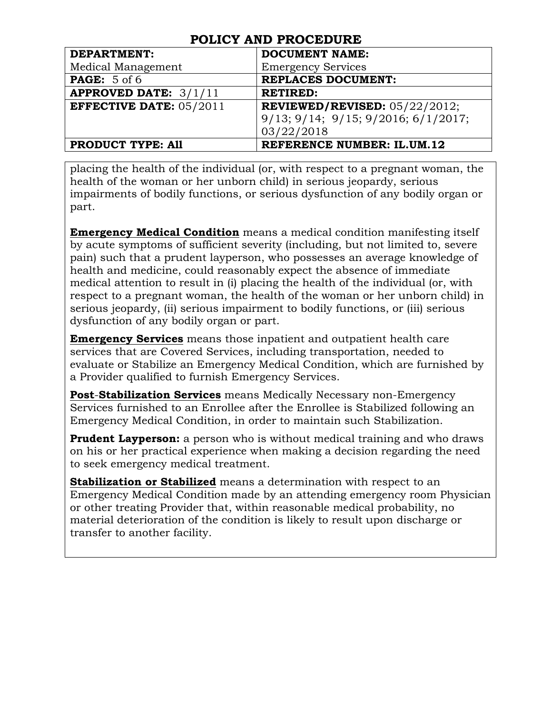| <b>DEPARTMENT:</b>             | <b>DOCUMENT NAME:</b>               |
|--------------------------------|-------------------------------------|
| Medical Management             | <b>Emergency Services</b>           |
| <b>PAGE:</b> 5 of 6            | <b>REPLACES DOCUMENT:</b>           |
| <b>APPROVED DATE:</b> $3/1/11$ | <b>RETIRED:</b>                     |
| <b>EFFECTIVE DATE: 05/2011</b> | REVIEWED/REVISED: $05/22/2012$ ;    |
|                                | 9/13; 9/14; 9/15; 9/2016; 6/1/2017; |
|                                | 03/22/2018                          |
| <b>PRODUCT TYPE: All</b>       | <b>REFERENCE NUMBER: IL.UM.12</b>   |

placing the health of the individual (or, with respect to a pregnant woman, the health of the woman or her unborn child) in serious jeopardy, serious impairments of bodily functions, or serious dysfunction of any bodily organ or part.

**Emergency Medical Condition** means a medical condition manifesting itself by acute symptoms of sufficient severity (including, but not limited to, severe pain) such that a prudent layperson, who possesses an average knowledge of health and medicine, could reasonably expect the absence of immediate medical attention to result in (i) placing the health of the individual (or, with respect to a pregnant woman, the health of the woman or her unborn child) in serious jeopardy, (ii) serious impairment to bodily functions, or (iii) serious dysfunction of any bodily organ or part.

**Emergency Services** means those inpatient and outpatient health care services that are Covered Services, including transportation, needed to evaluate or Stabilize an Emergency Medical Condition, which are furnished by a Provider qualified to furnish Emergency Services.

**Post**-**Stabilization Services** means Medically Necessary non-Emergency Services furnished to an Enrollee after the Enrollee is Stabilized following an Emergency Medical Condition, in order to maintain such Stabilization.

**Prudent Layperson:** a person who is without medical training and who draws on his or her practical experience when making a decision regarding the need to seek emergency medical treatment.

**Stabilization or Stabilized** means a determination with respect to an Emergency Medical Condition made by an attending emergency room Physician or other treating Provider that, within reasonable medical probability, no material deterioration of the condition is likely to result upon discharge or transfer to another facility.